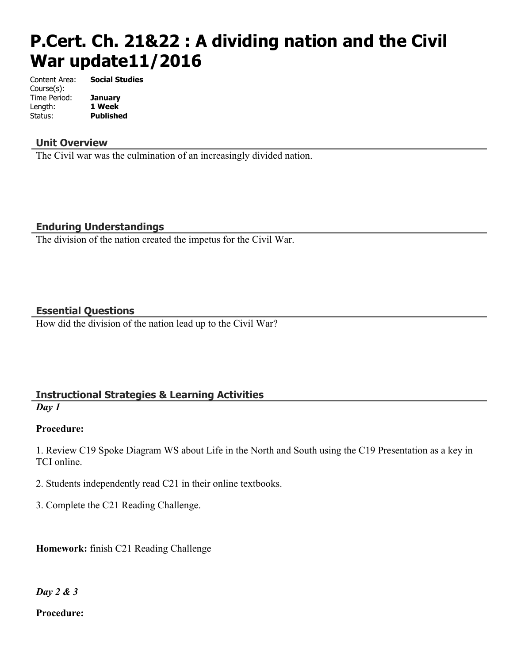# **P.Cert. Ch. 21&22 : A dividing nation and the Civil War update11/2016**

Content Area: **Social Studies** Course(s): Time Period: **January** Length: **1 Week** Status: **Published**

### **Unit Overview**

The Civil war was the culmination of an increasingly divided nation.

### **Enduring Understandings**

The division of the nation created the impetus for the Civil War.

### **Essential Questions**

How did the division of the nation lead up to the Civil War?

# **Instructional Strategies & Learning Activities**

*Day 1*

# **Procedure:**

1. Review C19 Spoke Diagram WS about Life in the North and South using the C19 Presentation as a key in TCI online.

2. Students independently read C21 in their online textbooks.

3. Complete the C21 Reading Challenge.

**Homework:** finish C21 Reading Challenge

*Day 2 & 3*

### **Procedure:**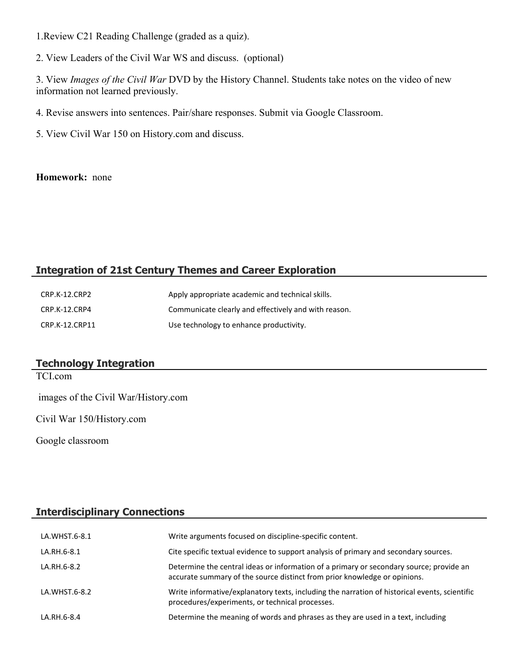1.Review C21 Reading Challenge (graded as a quiz).

2. View Leaders of the Civil War WS and discuss. (optional)

3. View *Images of the Civil War* DVD by the History Channel. Students take notes on the video of new information not learned previously.

4. Revise answers into sentences. Pair/share responses. Submit via Google Classroom.

5. View Civil War 150 on History.com and discuss.

#### **Homework:** none

# **Integration of 21st Century Themes and Career Exploration**

| CRP.K-12.CRP2  | Apply appropriate academic and technical skills.     |
|----------------|------------------------------------------------------|
| CRP.K-12.CRP4  | Communicate clearly and effectively and with reason. |
| CRP.K-12.CRP11 | Use technology to enhance productivity.              |

# **Technology Integration**

TCI.com images of the Civil War/History.com Civil War 150/History.com

Google classroom

# **Interdisciplinary Connections**

| LA.WHST.6-8.1 | Write arguments focused on discipline-specific content.                                                                                                              |
|---------------|----------------------------------------------------------------------------------------------------------------------------------------------------------------------|
| LA.RH.6-8.1   | Cite specific textual evidence to support analysis of primary and secondary sources.                                                                                 |
| LA.RH.6-8.2   | Determine the central ideas or information of a primary or secondary source; provide an<br>accurate summary of the source distinct from prior knowledge or opinions. |
| LA.WHST.6-8.2 | Write informative/explanatory texts, including the narration of historical events, scientific<br>procedures/experiments, or technical processes.                     |
| LA.RH.6-8.4   | Determine the meaning of words and phrases as they are used in a text, including                                                                                     |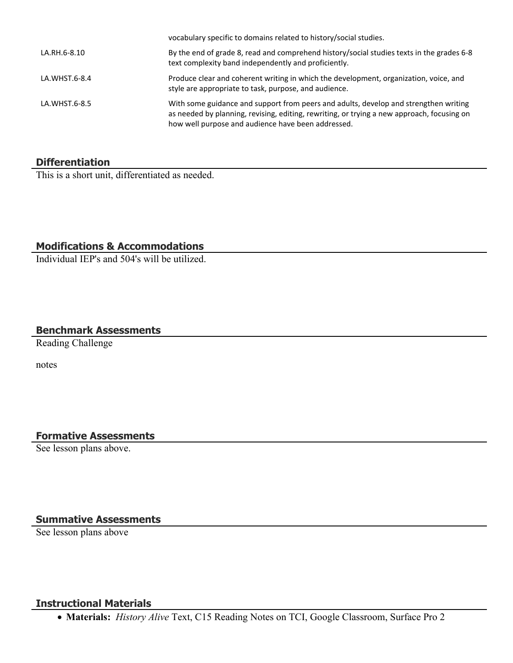|               | vocabulary specific to domains related to history/social studies.                                                                                                                                                                        |
|---------------|------------------------------------------------------------------------------------------------------------------------------------------------------------------------------------------------------------------------------------------|
| LA.RH.6-8.10  | By the end of grade 8, read and comprehend history/social studies texts in the grades 6-8<br>text complexity band independently and proficiently.                                                                                        |
| LA.WHST.6-8.4 | Produce clear and coherent writing in which the development, organization, voice, and<br>style are appropriate to task, purpose, and audience.                                                                                           |
| LA.WHST.6-8.5 | With some guidance and support from peers and adults, develop and strengthen writing<br>as needed by planning, revising, editing, rewriting, or trying a new approach, focusing on<br>how well purpose and audience have been addressed. |

### **Differentiation**

This is a short unit, differentiated as needed.

# **Modifications & Accommodations**

Individual IEP's and 504's will be utilized.

# **Benchmark Assessments**

Reading Challenge

notes

### **Formative Assessments**

See lesson plans above.

# **Summative Assessments**

See lesson plans above

### **Instructional Materials**

**Materials:** *History Alive* Text, C15 Reading Notes on TCI, Google Classroom, Surface Pro 2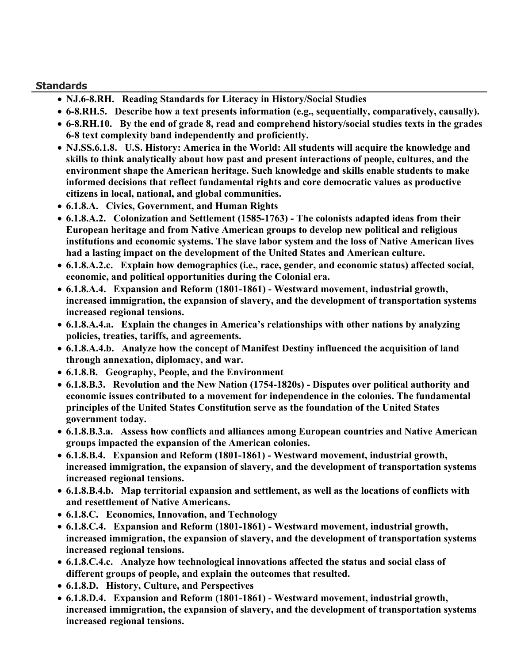### **Standards**

- **NJ.6-8.RH. Reading Standards for Literacy in History/Social Studies**
- **6-8.RH.5. Describe how a text presents information (e.g., sequentially, comparatively, causally).**
- **6-8.RH.10. By the end of grade 8, read and comprehend history/social studies texts in the grades 6-8 text complexity band independently and proficiently.**
- **NJ.SS.6.1.8. U.S. History: America in the World: All students will acquire the knowledge and skills to think analytically about how past and present interactions of people, cultures, and the environment shape the American heritage. Such knowledge and skills enable students to make informed decisions that reflect fundamental rights and core democratic values as productive citizens in local, national, and global communities.**
- **6.1.8.A. Civics, Government, and Human Rights**
- **6.1.8.A.2. Colonization and Settlement (1585-1763) The colonists adapted ideas from their European heritage and from Native American groups to develop new political and religious institutions and economic systems. The slave labor system and the loss of Native American lives had a lasting impact on the development of the United States and American culture.**
- **6.1.8.A.2.c. Explain how demographics (i.e., race, gender, and economic status) affected social, economic, and political opportunities during the Colonial era.**
- **6.1.8.A.4. Expansion and Reform (1801-1861) Westward movement, industrial growth, increased immigration, the expansion of slavery, and the development of transportation systems increased regional tensions.**
- **6.1.8.A.4.a. Explain the changes in America's relationships with other nations by analyzing policies, treaties, tariffs, and agreements.**
- **6.1.8.A.4.b. Analyze how the concept of Manifest Destiny influenced the acquisition of land through annexation, diplomacy, and war.**
- **6.1.8.B. Geography, People, and the Environment**
- **6.1.8.B.3. Revolution and the New Nation (1754-1820s) Disputes over political authority and economic issues contributed to a movement for independence in the colonies. The fundamental principles of the United States Constitution serve as the foundation of the United States government today.**
- **6.1.8.B.3.a. Assess how conflicts and alliances among European countries and Native American groups impacted the expansion of the American colonies.**
- **6.1.8.B.4. Expansion and Reform (1801-1861) Westward movement, industrial growth, increased immigration, the expansion of slavery, and the development of transportation systems increased regional tensions.**
- **6.1.8.B.4.b. Map territorial expansion and settlement, as well as the locations of conflicts with and resettlement of Native Americans.**
- **6.1.8.C. Economics, Innovation, and Technology**
- **6.1.8.C.4. Expansion and Reform (1801-1861) Westward movement, industrial growth, increased immigration, the expansion of slavery, and the development of transportation systems increased regional tensions.**
- **6.1.8.C.4.c. Analyze how technological innovations affected the status and social class of different groups of people, and explain the outcomes that resulted.**
- **6.1.8.D. History, Culture, and Perspectives**
- **6.1.8.D.4. Expansion and Reform (1801-1861) Westward movement, industrial growth, increased immigration, the expansion of slavery, and the development of transportation systems increased regional tensions.**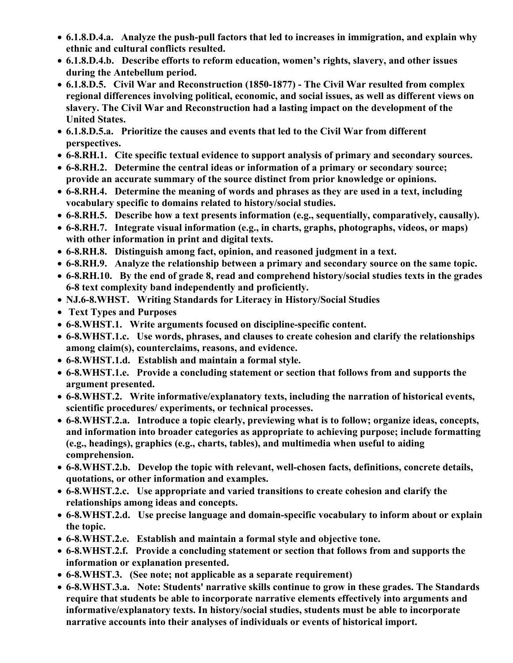- **6.1.8.D.4.a. Analyze the push-pull factors that led to increases in immigration, and explain why ethnic and cultural conflicts resulted.**
- **6.1.8.D.4.b. Describe efforts to reform education, women's rights, slavery, and other issues during the Antebellum period.**
- **6.1.8.D.5. Civil War and Reconstruction (1850-1877) The Civil War resulted from complex regional differences involving political, economic, and social issues, as well as different views on slavery. The Civil War and Reconstruction had a lasting impact on the development of the United States.**
- **6.1.8.D.5.a. Prioritize the causes and events that led to the Civil War from different perspectives.**
- **6-8.RH.1. Cite specific textual evidence to support analysis of primary and secondary sources.**
- **6-8.RH.2. Determine the central ideas or information of a primary or secondary source; provide an accurate summary of the source distinct from prior knowledge or opinions.**
- **6-8.RH.4. Determine the meaning of words and phrases as they are used in a text, including vocabulary specific to domains related to history/social studies.**
- **6-8.RH.5. Describe how a text presents information (e.g., sequentially, comparatively, causally).**
- **6-8.RH.7. Integrate visual information (e.g., in charts, graphs, photographs, videos, or maps) with other information in print and digital texts.**
- **6-8.RH.8. Distinguish among fact, opinion, and reasoned judgment in a text.**
- **6-8.RH.9. Analyze the relationship between a primary and secondary source on the same topic.**
- **6-8.RH.10. By the end of grade 8, read and comprehend history/social studies texts in the grades 6-8 text complexity band independently and proficiently.**
- **NJ.6-8.WHST. Writing Standards for Literacy in History/Social Studies**
- **Text Types and Purposes**
- **6-8.WHST.1. Write arguments focused on discipline-specific content.**
- **6-8.WHST.1.c. Use words, phrases, and clauses to create cohesion and clarify the relationships among claim(s), counterclaims, reasons, and evidence.**
- **6-8.WHST.1.d. Establish and maintain a formal style.**
- **6-8.WHST.1.e. Provide a concluding statement or section that follows from and supports the argument presented.**
- **6-8.WHST.2. Write informative/explanatory texts, including the narration of historical events, scientific procedures/ experiments, or technical processes.**
- **6-8.WHST.2.a. Introduce a topic clearly, previewing what is to follow; organize ideas, concepts, and information into broader categories as appropriate to achieving purpose; include formatting (e.g., headings), graphics (e.g., charts, tables), and multimedia when useful to aiding comprehension.**
- **6-8.WHST.2.b. Develop the topic with relevant, well-chosen facts, definitions, concrete details, quotations, or other information and examples.**
- **6-8.WHST.2.c. Use appropriate and varied transitions to create cohesion and clarify the relationships among ideas and concepts.**
- **6-8.WHST.2.d. Use precise language and domain-specific vocabulary to inform about or explain the topic.**
- **6-8.WHST.2.e. Establish and maintain a formal style and objective tone.**
- **6-8.WHST.2.f. Provide a concluding statement or section that follows from and supports the information or explanation presented.**
- **6-8.WHST.3. (See note; not applicable as a separate requirement)**
- **6-8.WHST.3.a. Note: Students' narrative skills continue to grow in these grades. The Standards require that students be able to incorporate narrative elements effectively into arguments and informative/explanatory texts. In history/social studies, students must be able to incorporate narrative accounts into their analyses of individuals or events of historical import.**